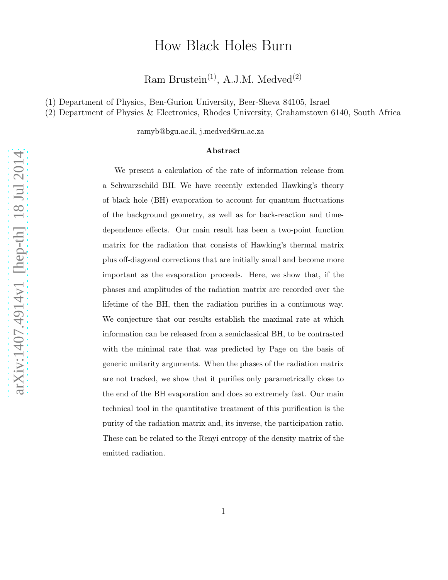# How Black Holes Burn

Ram Brustein<sup>(1)</sup>, A.J.M. Medved<sup>(2)</sup>

(1) Department of Physics, Ben-Gurion University, Beer-Sheva 84105, Israel

(2) Department of Physics & Electronics, Rhodes University, Grahamstown 6140, South Africa

ramyb@bgu.ac.il, j.medved@ru.ac.za

#### Abstract

We present a calculation of the rate of information release from a Schwarzschild BH. We have recently extended Hawking's theory of black hole (BH) evaporation to account for quantum fluctuations of the background geometry, as well as for back-reaction and timedependence effects. Our main result has been a two-point function matrix for the radiation that consists of Hawking's thermal matrix plus off-diagonal corrections that are initially small and become more important as the evaporation proceeds. Here, we show that, if the phases and amplitudes of the radiation matrix are recorded over the lifetime of the BH, then the radiation purifies in a continuous way. We conjecture that our results establish the maximal rate at which information can be released from a semiclassical BH, to be contrasted with the minimal rate that was predicted by Page on the basis of generic unitarity arguments. When the phases of the radiation matrix are not tracked, we show that it purifies only parametrically close to the end of the BH evaporation and does so extremely fast. Our main technical tool in the quantitative treatment of this purification is the purity of the radiation matrix and, its inverse, the participation ratio. These can be related to the Renyi entropy of the density matrix of the emitted radiation.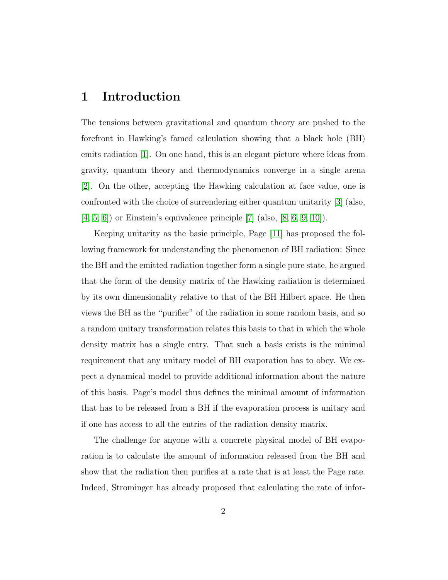# 1 Introduction

The tensions between gravitational and quantum theory are pushed to the forefront in Hawking's famed calculation showing that a black hole (BH) emits radiation [\[1\]](#page-18-0). On one hand, this is an elegant picture where ideas from gravity, quantum theory and thermodynamics converge in a single arena [\[2\]](#page-18-1). On the other, accepting the Hawking calculation at face value, one is confronted with the choice of surrendering either quantum unitarity [\[3\]](#page-19-0) (also, [\[4,](#page-19-1) [5,](#page-19-2) [6\]](#page-19-3)) or Einstein's equivalence principle [\[7\]](#page-19-4) (also, [\[8,](#page-19-5) [6,](#page-19-3) [9,](#page-19-6) [10\]](#page-19-7)).

Keeping unitarity as the basic principle, Page [\[11\]](#page-20-0) has proposed the following framework for understanding the phenomenon of BH radiation: Since the BH and the emitted radiation together form a single pure state, he argued that the form of the density matrix of the Hawking radiation is determined by its own dimensionality relative to that of the BH Hilbert space. He then views the BH as the "purifier" of the radiation in some random basis, and so a random unitary transformation relates this basis to that in which the whole density matrix has a single entry. That such a basis exists is the minimal requirement that any unitary model of BH evaporation has to obey. We expect a dynamical model to provide additional information about the nature of this basis. Page's model thus defines the minimal amount of information that has to be released from a BH if the evaporation process is unitary and if one has access to all the entries of the radiation density matrix.

The challenge for anyone with a concrete physical model of BH evaporation is to calculate the amount of information released from the BH and show that the radiation then purifies at a rate that is at least the Page rate. Indeed, Strominger has already proposed that calculating the rate of infor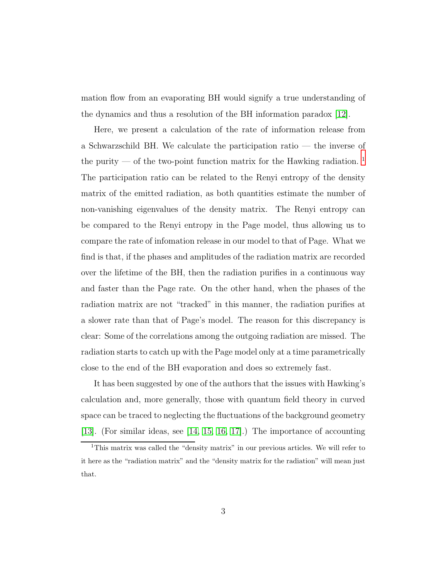mation flow from an evaporating BH would signify a true understanding of the dynamics and thus a resolution of the BH information paradox [\[12\]](#page-20-1).

Here, we present a calculation of the rate of information release from a Schwarzschild BH. We calculate the participation ratio — the inverse of the purity — of the two-point function matrix for the Hawking radiation.  $^{\rm 1}$  $^{\rm 1}$  $^{\rm 1}$ The participation ratio can be related to the Renyi entropy of the density matrix of the emitted radiation, as both quantities estimate the number of non-vanishing eigenvalues of the density matrix. The Renyi entropy can be compared to the Renyi entropy in the Page model, thus allowing us to compare the rate of infomation release in our model to that of Page. What we find is that, if the phases and amplitudes of the radiation matrix are recorded over the lifetime of the BH, then the radiation purifies in a continuous way and faster than the Page rate. On the other hand, when the phases of the radiation matrix are not "tracked" in this manner, the radiation purifies at a slower rate than that of Page's model. The reason for this discrepancy is clear: Some of the correlations among the outgoing radiation are missed. The radiation starts to catch up with the Page model only at a time parametrically close to the end of the BH evaporation and does so extremely fast.

It has been suggested by one of the authors that the issues with Hawking's calculation and, more generally, those with quantum field theory in curved space can be traced to neglecting the fluctuations of the background geometry [\[13\]](#page-20-2). (For similar ideas, see [\[14,](#page-20-3) [15,](#page-20-4) [16,](#page-20-5) [17\]](#page-20-6).) The importance of accounting

<span id="page-2-0"></span><sup>&</sup>lt;sup>1</sup>This matrix was called the "density matrix" in our previous articles. We will refer to it here as the "radiation matrix" and the "density matrix for the radiation" will mean just that.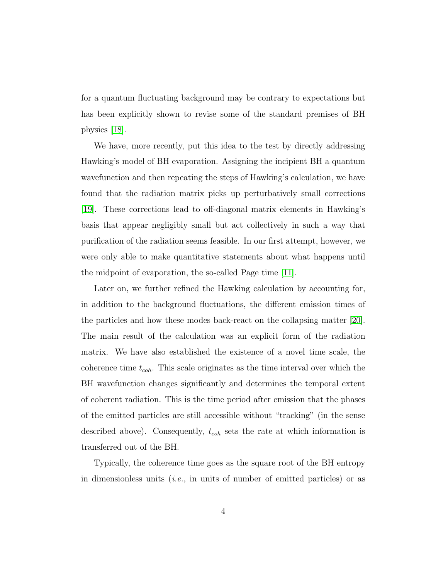for a quantum fluctuating background may be contrary to expectations but has been explicitly shown to revise some of the standard premises of BH physics [\[18\]](#page-20-7).

We have, more recently, put this idea to the test by directly addressing Hawking's model of BH evaporation. Assigning the incipient BH a quantum wavefunction and then repeating the steps of Hawking's calculation, we have found that the radiation matrix picks up perturbatively small corrections [\[19\]](#page-21-0). These corrections lead to off-diagonal matrix elements in Hawking's basis that appear negligibly small but act collectively in such a way that purification of the radiation seems feasible. In our first attempt, however, we were only able to make quantitative statements about what happens until the midpoint of evaporation, the so-called Page time [\[11\]](#page-20-0).

Later on, we further refined the Hawking calculation by accounting for, in addition to the background fluctuations, the different emission times of the particles and how these modes back-react on the collapsing matter [\[20\]](#page-21-1). The main result of the calculation was an explicit form of the radiation matrix. We have also established the existence of a novel time scale, the coherence time  $t_{coh}$ . This scale originates as the time interval over which the BH wavefunction changes significantly and determines the temporal extent of coherent radiation. This is the time period after emission that the phases of the emitted particles are still accessible without "tracking" (in the sense described above). Consequently,  $t_{coh}$  sets the rate at which information is transferred out of the BH.

Typically, the coherence time goes as the square root of the BH entropy in dimensionless units  $(i.e.,$  in units of number of emitted particles) or as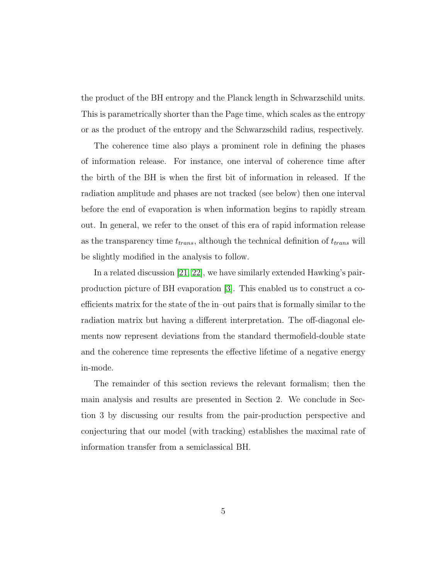the product of the BH entropy and the Planck length in Schwarzschild units. This is parametrically shorter than the Page time, which scales as the entropy or as the product of the entropy and the Schwarzschild radius, respectively.

The coherence time also plays a prominent role in defining the phases of information release. For instance, one interval of coherence time after the birth of the BH is when the first bit of information in released. If the radiation amplitude and phases are not tracked (see below) then one interval before the end of evaporation is when information begins to rapidly stream out. In general, we refer to the onset of this era of rapid information release as the transparency time  $t_{trans}$ , although the technical definition of  $t_{trans}$  will be slightly modified in the analysis to follow.

In a related discussion [\[21,](#page-21-2) [22\]](#page-21-3), we have similarly extended Hawking's pairproduction picture of BH evaporation [\[3\]](#page-19-0). This enabled us to construct a coefficients matrix for the state of the in–out pairs that is formally similar to the radiation matrix but having a different interpretation. The off-diagonal elements now represent deviations from the standard thermofield-double state and the coherence time represents the effective lifetime of a negative energy in-mode.

The remainder of this section reviews the relevant formalism; then the main analysis and results are presented in Section 2. We conclude in Section 3 by discussing our results from the pair-production perspective and conjecturing that our model (with tracking) establishes the maximal rate of information transfer from a semiclassical BH.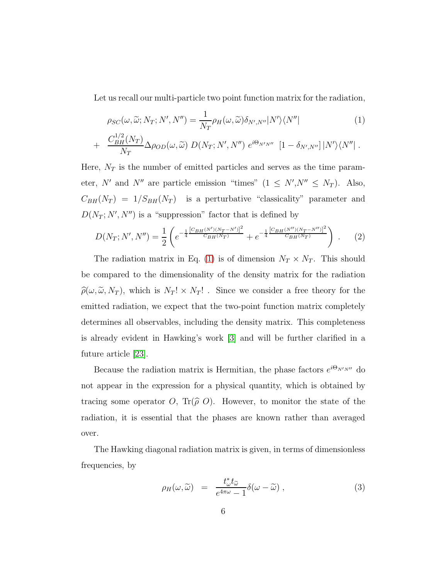<span id="page-5-0"></span>Let us recall our multi-particle two point function matrix for the radiation,

$$
\rho_{SC}(\omega, \widetilde{\omega}; N_T; N', N'') = \frac{1}{N_T} \rho_H(\omega, \widetilde{\omega}) \delta_{N', N''} |N'\rangle \langle N''|
$$
\n(1)

+ 
$$
\frac{C_{BH}^{1/2}(N_T)}{N_T} \Delta \rho_{OD}(\omega, \widetilde{\omega}) D(N_T; N', N'') e^{i\Theta_{N'N''}} [1 - \delta_{N',N''}] |N'\rangle\langle N''|.
$$

Here,  $N_T$  is the number of emitted particles and serves as the time parameter, N' and N'' are particle emission "times"  $(1 \leq N', N'' \leq N_T)$ . Also,  $C_{BH}(N_T) = 1/S_{BH}(N_T)$  is a perturbative "classicality" parameter and  $D(N_T; N', N'')$  is a "suppression" factor that is defined by

$$
D(N_T; N', N'') = \frac{1}{2} \left( e^{-\frac{1}{4} \frac{[C_{BH}(N')(N_T - N')]^2}{C_{BH}(N_T)}} + e^{-\frac{1}{4} \frac{[C_{BH}(N'')(N_T - N'')]^2}{C_{BH}(N_T)}} \right) \ . \tag{2}
$$

The radiation matrix in Eq. [\(1\)](#page-5-0) is of dimension  $N_T \times N_T$ . This should be compared to the dimensionality of the density matrix for the radiation  $\hat{\rho}(\omega, \tilde{\omega}, N_T)$ , which is  $N_T! \times N_T!$ . Since we consider a free theory for the emitted radiation, we expect that the two-point function matrix completely determines all observables, including the density matrix. This completeness is already evident in Hawking's work [\[3\]](#page-19-0) and will be further clarified in a future article [\[23\]](#page-21-4).

Because the radiation matrix is Hermitian, the phase factors  $e^{i\Theta_{N'N''}}$  do not appear in the expression for a physical quantity, which is obtained by tracing some operator O, Tr( $\hat{\rho}$ O). However, to monitor the state of the radiation, it is essential that the phases are known rather than averaged over.

The Hawking diagonal radiation matrix is given, in terms of dimensionless frequencies, by

$$
\rho_H(\omega,\widetilde{\omega}) = \frac{t_{\omega}^* t_{\widetilde{\omega}}}{e^{4\pi\omega} - 1} \delta(\omega - \widetilde{\omega}), \qquad (3)
$$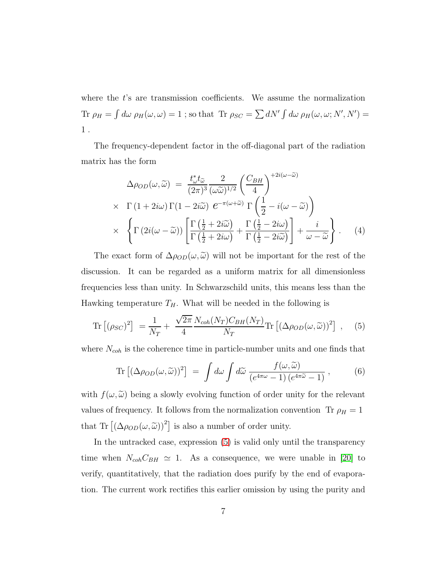where the  $t$ 's are transmission coefficients. We assume the normalization Tr  $\rho_H = \int d\omega \, \rho_H(\omega, \omega) = 1$ ; so that Tr  $\rho_{SC} = \sum dN' \int d\omega \, \rho_H(\omega, \omega; N', N') =$ 1 .

The frequency-dependent factor in the off-diagonal part of the radiation matrix has the form

$$
\Delta \rho_{OD}(\omega, \widetilde{\omega}) = \frac{t_{\omega}^* t_{\widetilde{\omega}}}{(2\pi)^3} \frac{2}{(\omega \widetilde{\omega})^{1/2}} \left(\frac{C_{BH}}{4}\right)^{+2i(\omega - \widetilde{\omega})} \times \Gamma(1 + 2i\omega) \Gamma(1 - 2i\widetilde{\omega}) e^{-\pi(\omega + \widetilde{\omega})} \Gamma\left(\frac{1}{2} - i(\omega - \widetilde{\omega})\right) \times \left\{ \Gamma(2i(\omega - \widetilde{\omega})) \left[ \frac{\Gamma(\frac{1}{2} + 2i\widetilde{\omega})}{\Gamma(\frac{1}{2} + 2i\omega)} + \frac{\Gamma(\frac{1}{2} - 2i\omega)}{\Gamma(\frac{1}{2} - 2i\widetilde{\omega})} \right] + \frac{i}{\omega - \widetilde{\omega}} \right\}.
$$
 (4)

The exact form of  $\Delta \rho_{OD}(\omega, \tilde{\omega})$  will not be important for the rest of the discussion. It can be regarded as a uniform matrix for all dimensionless frequencies less than unity. In Schwarzschild units, this means less than the Hawking temperature  $T_H$ . What will be needed in the following is

<span id="page-6-0"></span>
$$
\text{Tr}\left[ (\rho_{SC})^2 \right] = \frac{1}{N_T} + \frac{\sqrt{2\pi}}{4} \frac{N_{coh}(N_T) C_{BH}(N_T)}{N_T} \text{Tr}\left[ (\Delta \rho_{OD}(\omega, \tilde{\omega}))^2 \right] , \quad (5)
$$

where  $N_{coh}$  is the coherence time in particle-number units and one finds that

$$
\text{Tr}\left[ (\Delta \rho_{OD}(\omega, \widetilde{\omega}))^2 \right] \ = \ \int d\omega \int d\widetilde{\omega} \ \frac{f(\omega, \widetilde{\omega})}{\left(e^{4\pi\omega} - 1\right) \left(e^{4\pi\widetilde{\omega}} - 1\right)} \,, \tag{6}
$$

with  $f(\omega, \tilde{\omega})$  being a slowly evolving function of order unity for the relevant values of frequency. It follows from the normalization convention Tr  $\rho_H = 1$ that Tr  $[(\Delta \rho_{OD}(\omega, \tilde{\omega}))^2]$  is also a number of order unity.

In the untracked case, expression [\(5\)](#page-6-0) is valid only until the transparency time when  $N_{coh}C_{BH} \simeq 1$ . As a consequence, we were unable in [\[20\]](#page-21-1) to verify, quantitatively, that the radiation does purify by the end of evaporation. The current work rectifies this earlier omission by using the purity and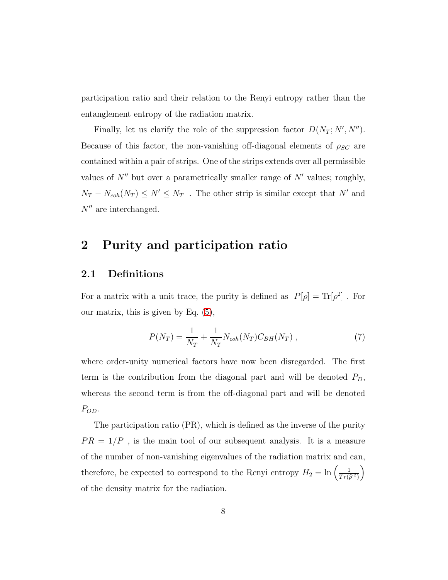participation ratio and their relation to the Renyi entropy rather than the entanglement entropy of the radiation matrix.

Finally, let us clarify the role of the suppression factor  $D(N_T; N', N'')$ . Because of this factor, the non-vanishing off-diagonal elements of  $\rho_{SC}$  are contained within a pair of strips. One of the strips extends over all permissible values of  $N''$  but over a parametrically smaller range of  $N'$  values; roughly,  $N_T - N_{coh}(N_T) \le N' \le N_T$ . The other strip is similar except that N' and  $N''$  are interchanged.

# 2 Purity and participation ratio

#### 2.1 Definitions

For a matrix with a unit trace, the purity is defined as  $P[\rho] = Tr[\rho^2]$ . For our matrix, this is given by Eq. [\(5\)](#page-6-0),

$$
P(N_T) = \frac{1}{N_T} + \frac{1}{N_T} N_{coh}(N_T) C_{BH}(N_T) ,
$$
 (7)

where order-unity numerical factors have now been disregarded. The first term is the contribution from the diagonal part and will be denoted  $P_D$ , whereas the second term is from the off-diagonal part and will be denoted P<sub>OD</sub>.

The participation ratio (PR), which is defined as the inverse of the purity  $PR = 1/P$ , is the main tool of our subsequent analysis. It is a measure of the number of non-vanishing eigenvalues of the radiation matrix and can, therefore, be expected to correspond to the Renyi entropy  $H_2 = \ln\left(\frac{1}{Tr(\hat{\rho}^2)}\right)$  $\overline{ }$ of the density matrix for the radiation.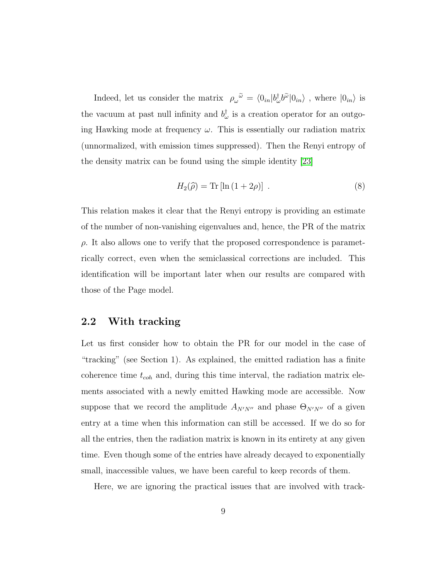Indeed, let us consider the matrix  $\rho_\omega^{\ \tilde\omega} = \langle 0_{in} | b_\omega^\dagger b^{\tilde\omega} | 0_{in} \rangle$ , where  $|0_{in} \rangle$  is the vacuum at past null infinity and  $b_{\omega}^{\dagger}$  is a creation operator for an outgoing Hawking mode at frequency  $\omega$ . This is essentially our radiation matrix (unnormalized, with emission times suppressed). Then the Renyi entropy of the density matrix can be found using the simple identity [\[23\]](#page-21-4)

$$
H_2(\widehat{\rho}) = \text{Tr}\left[\ln\left(1 + 2\rho\right)\right] \,. \tag{8}
$$

This relation makes it clear that the Renyi entropy is providing an estimate of the number of non-vanishing eigenvalues and, hence, the PR of the matrix  $\rho$ . It also allows one to verify that the proposed correspondence is parametrically correct, even when the semiclassical corrections are included. This identification will be important later when our results are compared with those of the Page model.

#### 2.2 With tracking

Let us first consider how to obtain the PR for our model in the case of "tracking" (see Section 1). As explained, the emitted radiation has a finite coherence time  $t_{coh}$  and, during this time interval, the radiation matrix elements associated with a newly emitted Hawking mode are accessible. Now suppose that we record the amplitude  $A_{N'N''}$  and phase  $\Theta_{N'N''}$  of a given entry at a time when this information can still be accessed. If we do so for all the entries, then the radiation matrix is known in its entirety at any given time. Even though some of the entries have already decayed to exponentially small, inaccessible values, we have been careful to keep records of them.

Here, we are ignoring the practical issues that are involved with track-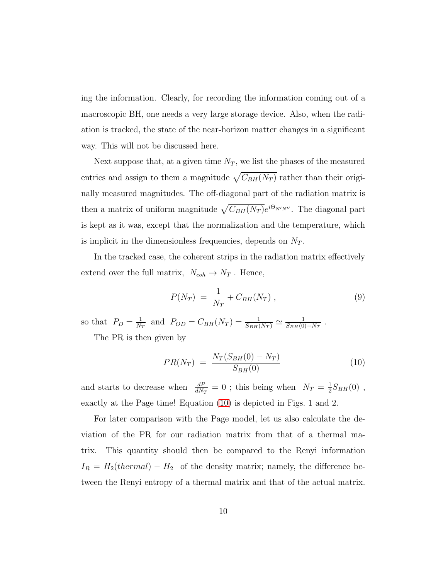ing the information. Clearly, for recording the information coming out of a macroscopic BH, one needs a very large storage device. Also, when the radiation is tracked, the state of the near-horizon matter changes in a significant way. This will not be discussed here.

Next suppose that, at a given time  $N_T$ , we list the phases of the measured entries and assign to them a magnitude  $\sqrt{C_{BH}(N_T)}$  rather than their originally measured magnitudes. The off-diagonal part of the radiation matrix is then a matrix of uniform magnitude  $\sqrt{C_{BH}(N_T)}e^{i\Theta_{N'N''}}$ . The diagonal part is kept as it was, except that the normalization and the temperature, which is implicit in the dimensionless frequencies, depends on  $N_T$ .

In the tracked case, the coherent strips in the radiation matrix effectively extend over the full matrix,  $N_{coh} \rightarrow N_T$ . Hence,

<span id="page-9-1"></span>
$$
P(N_T) = \frac{1}{N_T} + C_{BH}(N_T) , \qquad (9)
$$

so that  $P_D = \frac{1}{N_c}$  $\frac{1}{N_T}$  and  $P_{OD} = C_{BH}(N_T) = \frac{1}{S_{BH}(N_T)} \simeq \frac{1}{S_{BH}(0)}$  $\frac{1}{S_{BH}(0)-N_T}$ .

The PR is then given by

<span id="page-9-0"></span>
$$
PR(N_T) = \frac{N_T(S_{BH}(0) - N_T)}{S_{BH}(0)}
$$
\n(10)

and starts to decrease when  $\frac{dP}{dN_T} = 0$ ; this being when  $N_T = \frac{1}{2}$  $\frac{1}{2}S_{BH}(0)$ , exactly at the Page time! Equation [\(10\)](#page-9-0) is depicted in Figs. 1 and 2.

For later comparison with the Page model, let us also calculate the deviation of the PR for our radiation matrix from that of a thermal matrix. This quantity should then be compared to the Renyi information  $I_R = H_2(thermal) - H_2$  of the density matrix; namely, the difference between the Renyi entropy of a thermal matrix and that of the actual matrix.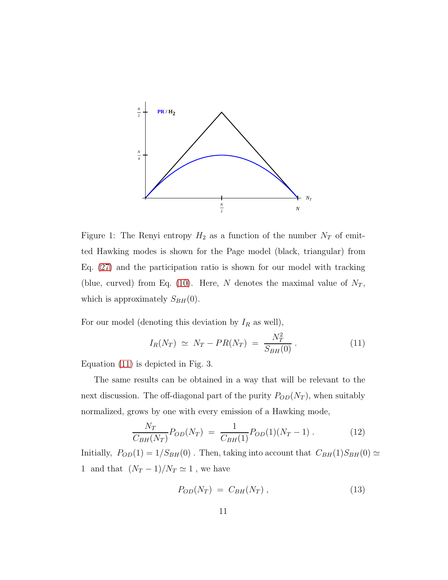

Figure 1: The Renyi entropy  $H_2$  as a function of the number  $N_T$  of emitted Hawking modes is shown for the Page model (black, triangular) from Eq. [\(27\)](#page-15-0) and the participation ratio is shown for our model with tracking (blue, curved) from Eq. [\(10\)](#page-9-0). Here, N denotes the maximal value of  $N_T$ , which is approximately  $S_{BH}(0)$ .

For our model (denoting this deviation by  $I_R$  as well),

<span id="page-10-0"></span>
$$
I_R(N_T) \simeq N_T - PR(N_T) = \frac{N_T^2}{S_{BH}(0)}.
$$
 (11)

Equation [\(11\)](#page-10-0) is depicted in Fig. 3.

The same results can be obtained in a way that will be relevant to the next discussion. The off-diagonal part of the purity  $P_{OD}(N_T)$ , when suitably normalized, grows by one with every emission of a Hawking mode,

<span id="page-10-1"></span>
$$
\frac{N_T}{C_{BH}(N_T)} P_{OD}(N_T) = \frac{1}{C_{BH}(1)} P_{OD}(1)(N_T - 1) \,. \tag{12}
$$

Initially,  $P_{OD}(1) = 1/S_{BH}(0)$ . Then, taking into account that  $C_{BH}(1)S_{BH}(0) \simeq$ 1 and that  $(N_T - 1)/N_T \simeq 1$ , we have

$$
P_{OD}(N_T) = C_{BH}(N_T) , \qquad (13)
$$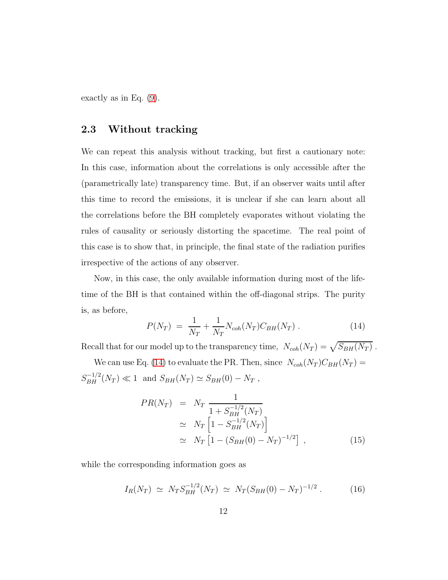exactly as in Eq. [\(9\)](#page-9-1).

#### 2.3 Without tracking

We can repeat this analysis without tracking, but first a cautionary note: In this case, information about the correlations is only accessible after the (parametrically late) transparency time. But, if an observer waits until after this time to record the emissions, it is unclear if she can learn about all the correlations before the BH completely evaporates without violating the rules of causality or seriously distorting the spacetime. The real point of this case is to show that, in principle, the final state of the radiation purifies irrespective of the actions of any observer.

Now, in this case, the only available information during most of the lifetime of the BH is that contained within the off-diagonal strips. The purity is, as before,

<span id="page-11-0"></span>
$$
P(N_T) = \frac{1}{N_T} + \frac{1}{N_T} N_{coh}(N_T) C_{BH}(N_T) . \qquad (14)
$$

Recall that for our model up to the transparency time,  $N_{coh}(N_T) = \sqrt{S_{BH}(N_T)}$ .

We can use Eq. [\(14\)](#page-11-0) to evaluate the PR. Then, since  $N_{coh}(N_T)C_{BH}(N_T)$  =  $S_{BH}^{-1/2}(N_T) \ll 1$  and  $S_{BH}(N_T) \simeq S_{BH}(0) - N_T$ ,

<span id="page-11-1"></span>
$$
PR(N_T) = N_T \frac{1}{1 + S_{BH}^{-1/2}(N_T)}
$$
  
\n
$$
\simeq N_T \left[ 1 - S_{BH}^{-1/2}(N_T) \right]
$$
  
\n
$$
\simeq N_T \left[ 1 - (S_{BH}(0) - N_T)^{-1/2} \right],
$$
\n(15)

while the corresponding information goes as

<span id="page-11-2"></span>
$$
I_R(N_T) \simeq N_T S_{BH}^{-1/2}(N_T) \simeq N_T (S_{BH}(0) - N_T)^{-1/2} \,. \tag{16}
$$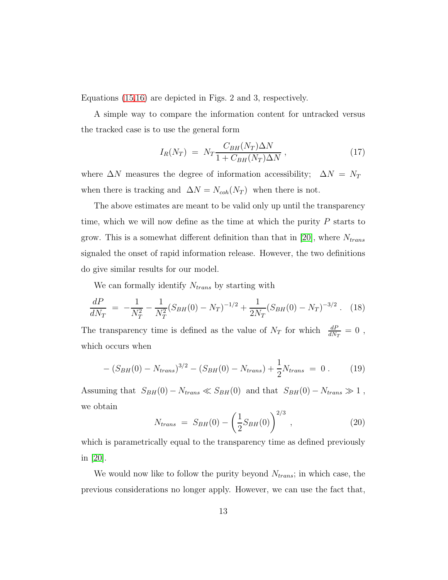Equations [\(15,](#page-11-1)[16\)](#page-11-2) are depicted in Figs. 2 and 3, respectively.

A simple way to compare the information content for untracked versus the tracked case is to use the general form

$$
I_R(N_T) = N_T \frac{C_{BH}(N_T)\Delta N}{1 + C_{BH}(N_T)\Delta N}, \qquad (17)
$$

where  $\Delta N$  measures the degree of information accessibility;  $\Delta N$  =  $N_T$ when there is tracking and  $\Delta N = N_{coh}(N_T)$  when there is not.

The above estimates are meant to be valid only up until the transparency time, which we will now define as the time at which the purity  $P$  starts to grow. This is a somewhat different definition than that in [\[20\]](#page-21-1), where  $N_{trans}$ signaled the onset of rapid information release. However, the two definitions do give similar results for our model.

We can formally identify  $N_{trans}$  by starting with

$$
\frac{dP}{dN_T} = -\frac{1}{N_T^2} - \frac{1}{N_T^2} (S_{BH}(0) - N_T)^{-1/2} + \frac{1}{2N_T} (S_{BH}(0) - N_T)^{-3/2} . \tag{18}
$$

The transparency time is defined as the value of  $N_T$  for which  $\frac{dP}{dN_T} = 0$ , which occurs when

$$
-(S_{BH}(0) - N_{trans})^{3/2} - (S_{BH}(0) - N_{trans}) + \frac{1}{2}N_{trans} = 0.
$$
 (19)

Assuming that  $S_{BH}(0) - N_{trans} \ll S_{BH}(0)$  and that  $S_{BH}(0) - N_{trans} \gg 1$ , we obtain

<span id="page-12-0"></span>
$$
N_{trans} = S_{BH}(0) - \left(\frac{1}{2}S_{BH}(0)\right)^{2/3}, \qquad (20)
$$

which is parametrically equal to the transparency time as defined previously in [\[20\]](#page-21-1).

We would now like to follow the purity beyond  $N_{trans}$ ; in which case, the previous considerations no longer apply. However, we can use the fact that,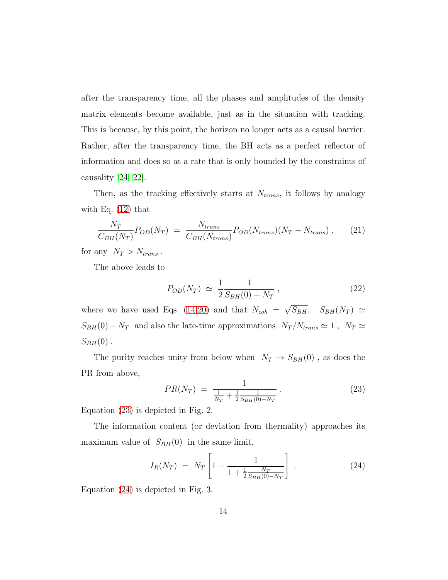after the transparency time, all the phases and amplitudes of the density matrix elements become available, just as in the situation with tracking. This is because, by this point, the horizon no longer acts as a causal barrier. Rather, after the transparency time, the BH acts as a perfect reflector of information and does so at a rate that is only bounded by the constraints of causality [\[24,](#page-21-5) [22\]](#page-21-3).

Then, as the tracking effectively starts at  $N_{trans}$ , it follows by analogy with Eq.  $(12)$  that

$$
\frac{N_T}{C_{BH}(N_T)}P_{OD}(N_T) = \frac{N_{trans}}{C_{BH}(N_{trans})}P_{OD}(N_{trans})(N_T - N_{trans}), \qquad (21)
$$

for any  $N_T > N_{trans}$ .

The above leads to

$$
P_{OD}(N_T) \simeq \frac{1}{2} \frac{1}{S_{BH}(0) - N_T} \,, \tag{22}
$$

where we have used Eqs. [\(14](#page-11-0)[,20\)](#page-12-0) and that  $N_{coh} = \sqrt{S_{BH}}$ ,  $S_{BH}(N_T) \simeq$  $S_{BH}(0) - N_T$  and also the late-time approximations  $N_T/N_{trans} \simeq 1$ ,  $N_T \simeq$  $S_{BH}(0)$ .

The purity reaches unity from below when  $N_T \rightarrow S_{BH}(0)$ , as does the PR from above,

<span id="page-13-0"></span>
$$
PR(N_T) = \frac{1}{\frac{1}{N_T} + \frac{1}{2} \frac{1}{S_{BH}(0) - N_T}}.
$$
\n(23)

Equation [\(23\)](#page-13-0) is depicted in Fig. 2.

The information content (or deviation from thermality) approaches its maximum value of  $S_{BH}(0)$  in the same limit,

<span id="page-13-1"></span>
$$
I_R(N_T) = N_T \left[ 1 - \frac{1}{1 + \frac{1}{2} \frac{N_T}{S_{BH}(0) - N_T}} \right].
$$
 (24)

Equation [\(24\)](#page-13-1) is depicted in Fig. 3.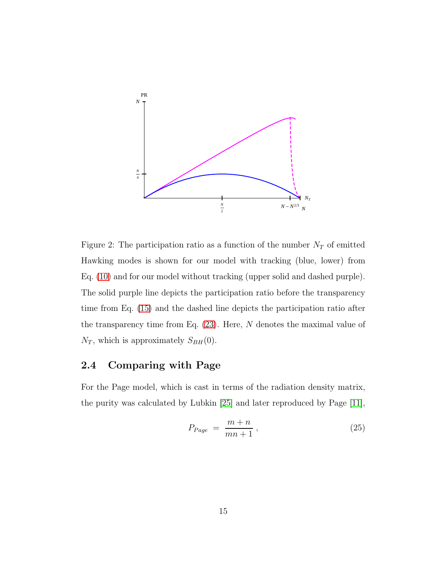

Figure 2: The participation ratio as a function of the number  $N_T$  of emitted Hawking modes is shown for our model with tracking (blue, lower) from Eq. [\(10\)](#page-9-0) and for our model without tracking (upper solid and dashed purple). The solid purple line depicts the participation ratio before the transparency time from Eq. [\(15\)](#page-11-1) and the dashed line depicts the participation ratio after the transparency time from Eq.  $(23)$ . Here, N denotes the maximal value of  $N_T$ , which is approximately  $S_{BH}(0)$ .

### 2.4 Comparing with Page

For the Page model, which is cast in terms of the radiation density matrix, the purity was calculated by Lubkin [\[25\]](#page-21-6) and later reproduced by Page [\[11\]](#page-20-0),

$$
P_{Page} = \frac{m+n}{mn+1}, \qquad (25)
$$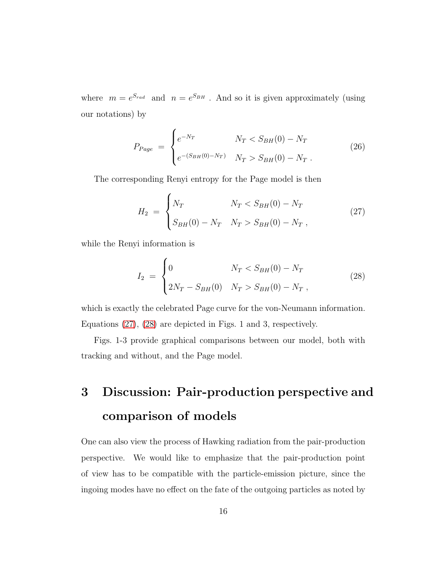where  $m = e^{S_{rad}}$  and  $n = e^{S_{BH}}$ . And so it is given approximately (using our notations) by

$$
P_{Page} = \begin{cases} e^{-N_T} & N_T < S_{BH}(0) - N_T \\ e^{-(S_{BH}(0) - N_T)} & N_T > S_{BH}(0) - N_T \end{cases}
$$
 (26)

The corresponding Renyi entropy for the Page model is then

<span id="page-15-0"></span>
$$
H_2 = \begin{cases} N_T & N_T < S_{BH}(0) - N_T \\ S_{BH}(0) - N_T & N_T > S_{BH}(0) - N_T \end{cases}
$$
 (27)

while the Renyi information is

<span id="page-15-1"></span>
$$
I_2 = \begin{cases} 0 & N_T < S_{BH}(0) - N_T \\ 2N_T - S_{BH}(0) & N_T > S_{BH}(0) - N_T \end{cases}
$$
 (28)

which is exactly the celebrated Page curve for the von-Neumann information. Equations [\(27\)](#page-15-0), [\(28\)](#page-15-1) are depicted in Figs. 1 and 3, respectively.

Figs. 1-3 provide graphical comparisons between our model, both with tracking and without, and the Page model.

# 3 Discussion: Pair-production perspective and comparison of models

One can also view the process of Hawking radiation from the pair-production perspective. We would like to emphasize that the pair-production point of view has to be compatible with the particle-emission picture, since the ingoing modes have no effect on the fate of the outgoing particles as noted by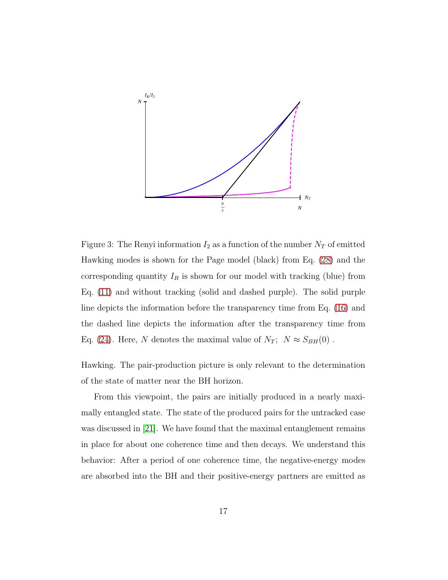

Figure 3: The Renyi information  $I_2$  as a function of the number  $N_T$  of emitted Hawking modes is shown for the Page model (black) from Eq. [\(28\)](#page-15-1) and the corresponding quantity  $I_R$  is shown for our model with tracking (blue) from Eq. [\(11\)](#page-10-0) and without tracking (solid and dashed purple). The solid purple line depicts the information before the transparency time from Eq. [\(16\)](#page-11-2) and the dashed line depicts the information after the transparency time from Eq. [\(24\)](#page-13-1). Here, N denotes the maximal value of  $N_T$ ;  $N \approx S_{BH}(0)$ .

Hawking. The pair-production picture is only relevant to the determination of the state of matter near the BH horizon.

From this viewpoint, the pairs are initially produced in a nearly maximally entangled state. The state of the produced pairs for the untracked case was discussed in [\[21\]](#page-21-2). We have found that the maximal entanglement remains in place for about one coherence time and then decays. We understand this behavior: After a period of one coherence time, the negative-energy modes are absorbed into the BH and their positive-energy partners are emitted as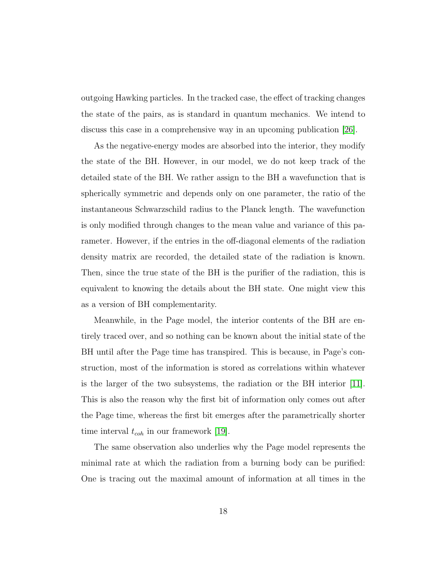outgoing Hawking particles. In the tracked case, the effect of tracking changes the state of the pairs, as is standard in quantum mechanics. We intend to discuss this case in a comprehensive way in an upcoming publication [\[26\]](#page-21-7).

As the negative-energy modes are absorbed into the interior, they modify the state of the BH. However, in our model, we do not keep track of the detailed state of the BH. We rather assign to the BH a wavefunction that is spherically symmetric and depends only on one parameter, the ratio of the instantaneous Schwarzschild radius to the Planck length. The wavefunction is only modified through changes to the mean value and variance of this parameter. However, if the entries in the off-diagonal elements of the radiation density matrix are recorded, the detailed state of the radiation is known. Then, since the true state of the BH is the purifier of the radiation, this is equivalent to knowing the details about the BH state. One might view this as a version of BH complementarity.

Meanwhile, in the Page model, the interior contents of the BH are entirely traced over, and so nothing can be known about the initial state of the BH until after the Page time has transpired. This is because, in Page's construction, most of the information is stored as correlations within whatever is the larger of the two subsystems, the radiation or the BH interior [\[11\]](#page-20-0). This is also the reason why the first bit of information only comes out after the Page time, whereas the first bit emerges after the parametrically shorter time interval  $t_{coh}$  in our framework [\[19\]](#page-21-0).

The same observation also underlies why the Page model represents the minimal rate at which the radiation from a burning body can be purified: One is tracing out the maximal amount of information at all times in the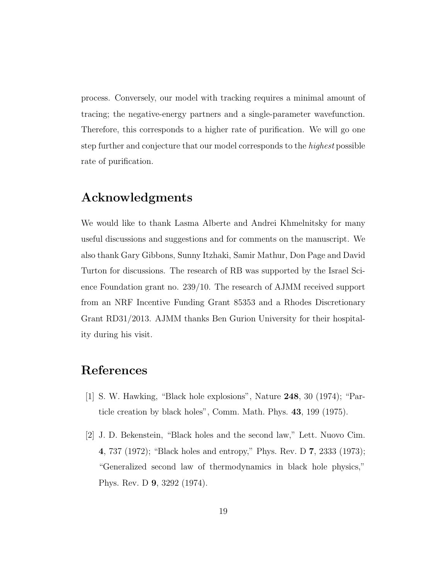process. Conversely, our model with tracking requires a minimal amount of tracing; the negative-energy partners and a single-parameter wavefunction. Therefore, this corresponds to a higher rate of purification. We will go one step further and conjecture that our model corresponds to the highest possible rate of purification.

# Acknowledgments

We would like to thank Lasma Alberte and Andrei Khmelnitsky for many useful discussions and suggestions and for comments on the manuscript. We also thank Gary Gibbons, Sunny Itzhaki, Samir Mathur, Don Page and David Turton for discussions. The research of RB was supported by the Israel Science Foundation grant no. 239/10. The research of AJMM received support from an NRF Incentive Funding Grant 85353 and a Rhodes Discretionary Grant RD31/2013. AJMM thanks Ben Gurion University for their hospitality during his visit.

# <span id="page-18-0"></span>References

- <span id="page-18-1"></span>[1] S. W. Hawking, "Black hole explosions", Nature 248, 30 (1974); "Particle creation by black holes", Comm. Math. Phys. 43, 199 (1975).
- [2] J. D. Bekenstein, "Black holes and the second law," Lett. Nuovo Cim. 4, 737 (1972); "Black holes and entropy," Phys. Rev. D 7, 2333 (1973); "Generalized second law of thermodynamics in black hole physics," Phys. Rev. D 9, 3292 (1974).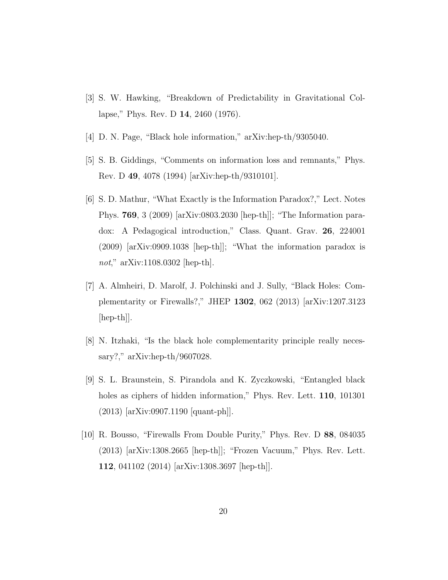- <span id="page-19-1"></span><span id="page-19-0"></span>[3] S. W. Hawking, "Breakdown of Predictability in Gravitational Collapse," Phys. Rev. D 14, 2460 (1976).
- <span id="page-19-2"></span>[4] D. N. Page, "Black hole information," arXiv:hep-th/9305040.
- <span id="page-19-3"></span>[5] S. B. Giddings, "Comments on information loss and remnants," Phys. Rev. D 49, 4078 (1994) [arXiv:hep-th/9310101].
- [6] S. D. Mathur, "What Exactly is the Information Paradox?," Lect. Notes Phys. 769, 3 (2009) [arXiv:0803.2030 [hep-th]]; "The Information paradox: A Pedagogical introduction," Class. Quant. Grav. 26, 224001 (2009) [arXiv:0909.1038 [hep-th]]; "What the information paradox is not," arXiv:1108.0302 [hep-th].
- <span id="page-19-4"></span>[7] A. Almheiri, D. Marolf, J. Polchinski and J. Sully, "Black Holes: Complementarity or Firewalls?," JHEP 1302, 062 (2013) [arXiv:1207.3123 [hep-th]].
- <span id="page-19-6"></span><span id="page-19-5"></span>[8] N. Itzhaki, "Is the black hole complementarity principle really necessary?," arXiv:hep-th/9607028.
- [9] S. L. Braunstein, S. Pirandola and K. Zyczkowski, "Entangled black holes as ciphers of hidden information," Phys. Rev. Lett. **110**, 101301 (2013) [arXiv:0907.1190 [quant-ph]].
- <span id="page-19-7"></span>[10] R. Bousso, "Firewalls From Double Purity," Phys. Rev. D 88, 084035 (2013) [arXiv:1308.2665 [hep-th]]; "Frozen Vacuum," Phys. Rev. Lett. 112, 041102 (2014) [arXiv:1308.3697 [hep-th]].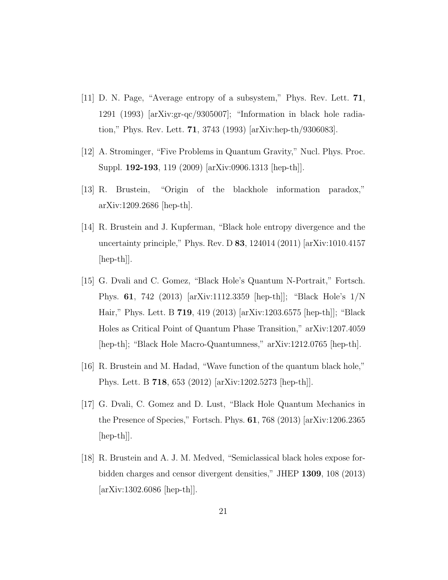- <span id="page-20-0"></span>[11] D. N. Page, "Average entropy of a subsystem," Phys. Rev. Lett. 71, 1291 (1993) [arXiv:gr-qc/9305007]; "Information in black hole radiation," Phys. Rev. Lett. 71, 3743 (1993) [arXiv:hep-th/9306083].
- <span id="page-20-2"></span><span id="page-20-1"></span>[12] A. Strominger, "Five Problems in Quantum Gravity," Nucl. Phys. Proc. Suppl. 192-193, 119 (2009) [arXiv:0906.1313 [hep-th]].
- <span id="page-20-3"></span>[13] R. Brustein, "Origin of the blackhole information paradox," arXiv:1209.2686 [hep-th].
- [14] R. Brustein and J. Kupferman, "Black hole entropy divergence and the uncertainty principle," Phys. Rev. D 83, 124014 (2011) [arXiv:1010.4157 [hep-th]].
- <span id="page-20-4"></span>[15] G. Dvali and C. Gomez, "Black Hole's Quantum N-Portrait," Fortsch. Phys. 61, 742 (2013) [arXiv:1112.3359 [hep-th]]; "Black Hole's 1/N Hair," Phys. Lett. B 719, 419 (2013) [arXiv:1203.6575 [hep-th]]; "Black Holes as Critical Point of Quantum Phase Transition," arXiv:1207.4059 [hep-th]; "Black Hole Macro-Quantumness," arXiv:1212.0765 [hep-th].
- <span id="page-20-6"></span><span id="page-20-5"></span>[16] R. Brustein and M. Hadad, "Wave function of the quantum black hole," Phys. Lett. B 718, 653 (2012) [arXiv:1202.5273 [hep-th]].
- [17] G. Dvali, C. Gomez and D. Lust, "Black Hole Quantum Mechanics in the Presence of Species," Fortsch. Phys. 61, 768 (2013) [arXiv:1206.2365 [hep-th]].
- <span id="page-20-7"></span>[18] R. Brustein and A. J. M. Medved, "Semiclassical black holes expose forbidden charges and censor divergent densities," JHEP 1309, 108 (2013) [arXiv:1302.6086 [hep-th]].